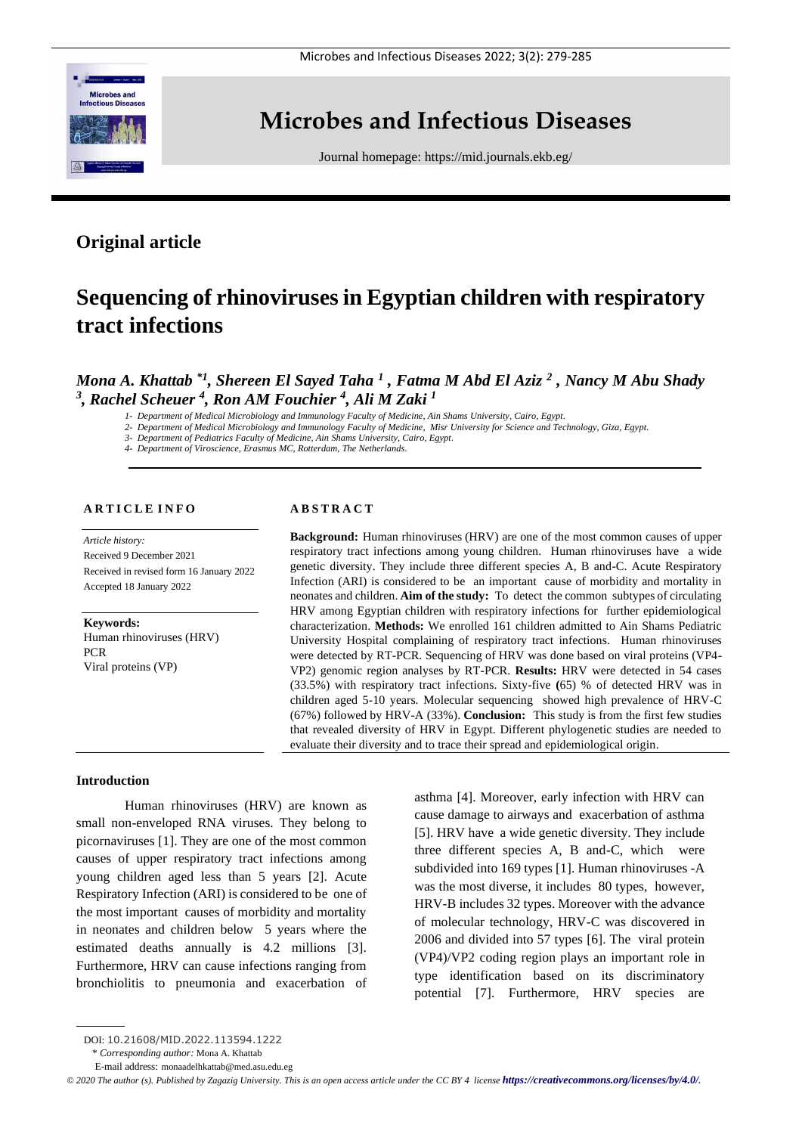

# **Microbes and Infectious Diseases**

Journal homepage:<https://mid.journals.ekb.eg/>

# **Original article**

# **Sequencing of rhinoviruses in Egyptian children with respiratory tract infections**

# *Mona A. Khattab \*1 , Shereen El Sayed Taha <sup>1</sup> , Fatma M Abd El Aziz <sup>2</sup> , Nancy M Abu Shady 3 , Rachel Scheuer <sup>4</sup> , Ron AM Fouchier <sup>4</sup> , Ali M Zaki <sup>1</sup>*

*1- Department of Medical Microbiology and Immunology Faculty of Medicine, Ain Shams University, Cairo, Egypt.*

*2- Department of Medical Microbiology and Immunology Faculty of Medicine, Misr University for Science and Technology, Giza, Egypt.*

*3- Department of Pediatrics Faculty of Medicine, Ain Shams University, Cairo, Egypt.*

*4- Department of Viroscience, Erasmus MC, Rotterdam, The Netherlands.*

### **A R T I C L E I N F O**

*Article history:* 

Received 9 December 2021 Received in revised form 16 January 2022 Accepted 18 January 2022

**Keywords:** Human rhinoviruses (HRV) PCR Viral proteins (VP)

#### **A B S T R A C T**

**Background:** Human rhinoviruses (HRV) are one of the most common causes of upper respiratory tract infections among young children. Human rhinoviruses have a wide genetic diversity. They include three different species A, B and-C. Acute Respiratory Infection (ARI) is considered to be an important cause of morbidity and mortality in neonates and children. **Aim of the study:** To detect the common subtypes of circulating HRV among Egyptian children with respiratory infections for further epidemiological characterization. **Methods:** We enrolled 161 children admitted to Ain Shams Pediatric University Hospital complaining of respiratory tract infections. Human rhinoviruses were detected by RT-PCR. Sequencing of HRV was done based on viral proteins (VP4- VP2) genomic region analyses by RT-PCR. **Results:** HRV were detected in 54 cases (33.5%) with respiratory tract infections. Sixty-five **(**65) % of detected HRV was in children aged 5-10 years. Molecular sequencing showed high prevalence of HRV-C (67%) followed by HRV-A (33%). **Conclusion:** This study is from the first few studies that revealed diversity of HRV in Egypt. Different phylogenetic studies are needed to evaluate their diversity and to trace their spread and epidemiological origin.

### **Introduction**

Human rhinoviruses (HRV) are known as small non-enveloped RNA viruses. They belong to picornaviruses [1]. They are one of the most common causes of upper respiratory tract infections among young children aged less than 5 years [2]. Acute Respiratory Infection (ARI) is considered to be one of the most important causes of morbidity and mortality in neonates and children below 5 years where the estimated deaths annually is 4.2 millions [3]. Furthermore, HRV can cause infections ranging from bronchiolitis to pneumonia and exacerbation of asthma [4]. Moreover, early infection with HRV can cause damage to airways and exacerbation of asthma [5]. HRV have a wide genetic diversity. They include three different species A, B and-C, which were subdivided into 169 types [1]. Human rhinoviruses -A was the most diverse, it includes 80 types, however, HRV-B includes 32 types. Moreover with the advance of molecular technology, HRV-C was discovered in 2006 and divided into 57 types [6]. The viral protein (VP4)/VP2 coding region plays an important role in type identification based on its discriminatory potential [7]. Furthermore, HRV species are

\* *Corresponding author:* Mona A. Khattab

 $\odot$  2020 The author (s). Published by Zagazig University. This is an open access article under the CC BY 4 license *<https://creativecommons.org/licenses/by/4.0/>*.

DOI: 10.21608/MID.2022.113594.1222

E-mail address: monaadelhkattab@med.asu.edu.eg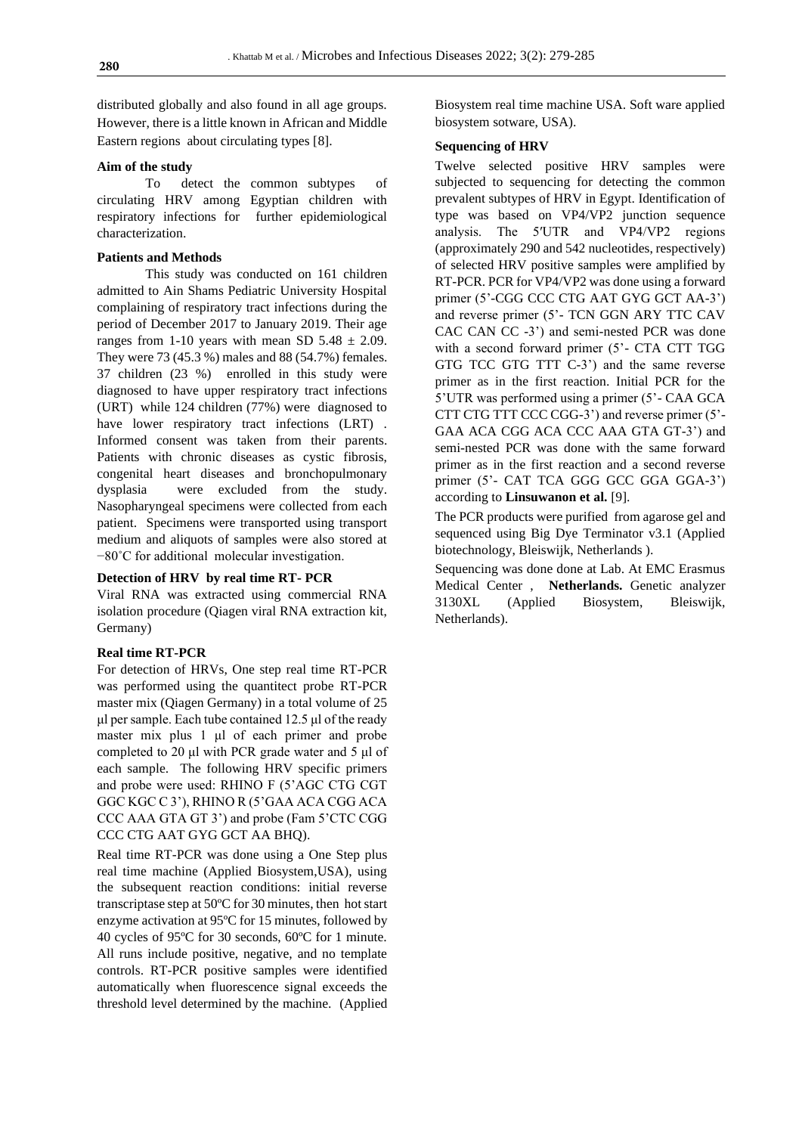distributed globally and also found in all age groups. However, there is a little known in African and Middle Eastern regions about circulating types [8].

#### **Aim of the study**

To detect the common subtypes of circulating HRV among Egyptian children with respiratory infections for further epidemiological characterization.

## **Patients and Methods**

This study was conducted on 161 children admitted to Ain Shams Pediatric University Hospital complaining of respiratory tract infections during the period of December 2017 to January 2019. Their age ranges from 1-10 years with mean SD  $5.48 \pm 2.09$ . They were 73 (45.3 %) males and 88 (54.7%) females. 37 children (23 %) enrolled in this study were diagnosed to have upper respiratory tract infections (URT) while 124 children (77%) were diagnosed to have lower respiratory tract infections (LRT). Informed consent was taken from their parents. Patients with chronic diseases as cystic fibrosis, congenital heart diseases and bronchopulmonary dysplasia were excluded from the study. Nasopharyngeal specimens were collected from each patient. Specimens were transported using transport medium and aliquots of samples were also stored at −80˚C for additional molecular investigation.

#### **Detection of HRV by real time RT- PCR**

Viral RNA was extracted using commercial RNA isolation procedure (Qiagen viral RNA extraction kit, Germany)

#### **Real time RT-PCR**

For detection of HRVs, One step real time RT-PCR was performed using the quantitect probe RT-PCR master mix (Qiagen Germany) in a total volume of 25 μl per sample. Each tube contained 12.5 μl of the ready master mix plus 1 μl of each primer and probe completed to 20 μl with PCR grade water and 5 μl of each sample. The following HRV specific primers and probe were used: RHINO F (5'AGC CTG CGT GGC KGC C 3'), RHINO R (5'GAA ACA CGG ACA CCC AAA GTA GT 3') and probe (Fam 5'CTC CGG CCC CTG AAT GYG GCT AA BHO).

Real time RT-PCR was done using a One Step plus real time machine (Applied Biosystem,USA), using the subsequent reaction conditions: initial reverse transcriptase step at 50ºC for 30 minutes, then hot start enzyme activation at 95ºC for 15 minutes, followed by 40 cycles of 95ºC for 30 seconds, 60ºC for 1 minute. All runs include positive, negative, and no template controls. RT-PCR positive samples were identified automatically when fluorescence signal exceeds the threshold level determined by the machine. (Applied

Biosystem real time machine USA. Soft ware applied biosystem sotware, USA).

#### **Sequencing of HRV**

Twelve selected positive HRV samples were subjected to sequencing for detecting the common prevalent subtypes of HRV in Egypt. Identification of type was based on VP4/VP2 junction sequence analysis. The 5′UTR and VP4/VP2 regions (approximately 290 and 542 nucleotides, respectively) of selected HRV positive samples were amplified by RT-PCR. PCR for VP4/VP2 was done using a forward primer (5'-CGG CCC CTG AAT GYG GCT AA-3') and reverse primer (5'- TCN GGN ARY TTC CAV CAC CAN CC -3') and semi-nested PCR was done with a second forward primer (5'- CTA CTT TGG GTG TCC GTG TTT C-3') and the same reverse primer as in the first reaction. Initial PCR for the 5'UTR was performed using a primer (5'- CAA GCA CTT CTG TTT CCC CGG-3') and reverse primer (5'- GAA ACA CGG ACA CCC AAA GTA GT-3') and semi-nested PCR was done with the same forward primer as in the first reaction and a second reverse primer (5'- CAT TCA GGG GCC GGA GGA-3') according to **Linsuwanon et al.** [9].

The PCR products were purified from agarose gel and sequenced using Big Dye Terminator v3.1 (Applied biotechnology, Bleiswijk, Netherlands ).

Sequencing was done done at Lab. At EMC Erasmus Medical Center , **Netherlands.** Genetic analyzer 3130XL (Applied Biosystem, Bleiswijk, Netherlands).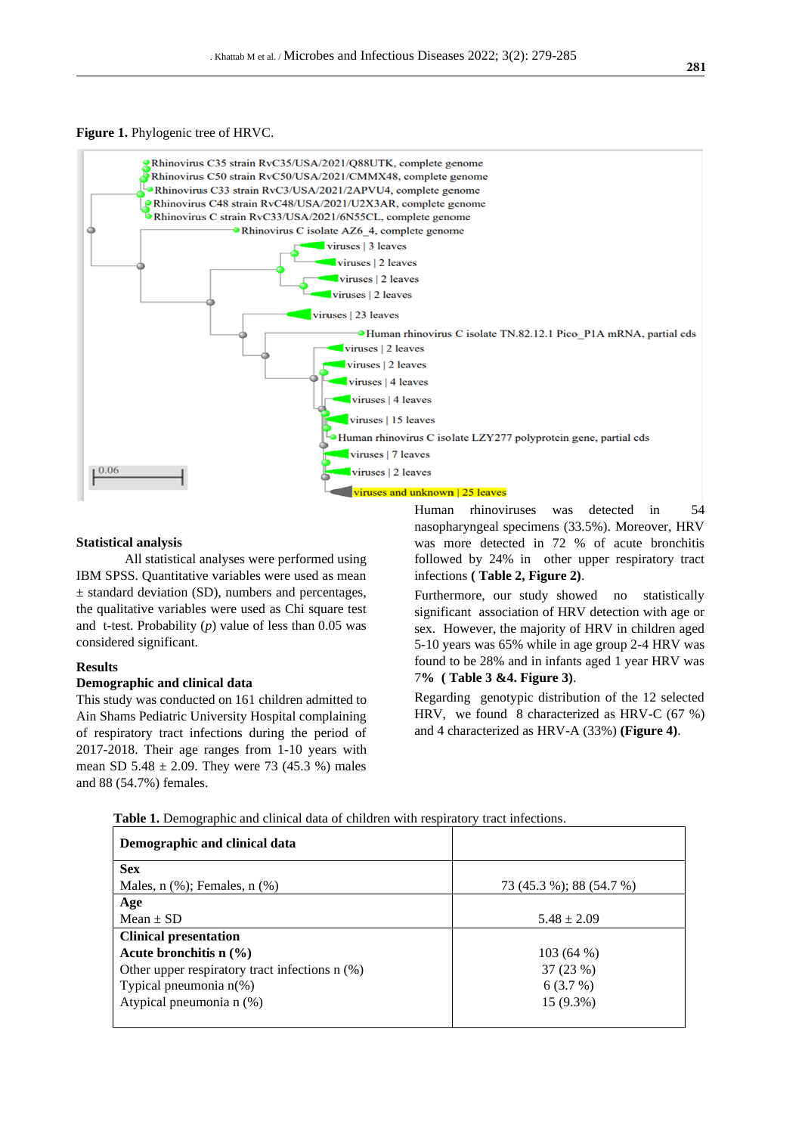#### **Figure 1.** Phylogenic tree of HRVC.



#### **Statistical analysis**

All statistical analyses were performed using IBM SPSS. Quantitative variables were used as mean ± standard deviation (SD), numbers and percentages, the qualitative variables were used as Chi square test and t-test. Probability (*p*) value of less than 0.05 was considered significant.

#### **Results**

#### **Demographic and clinical data**

This study was conducted on 161 children admitted to Ain Shams Pediatric University Hospital complaining of respiratory tract infections during the period of 2017-2018. Their age ranges from 1-10 years with mean SD  $5.48 \pm 2.09$ . They were 73 (45.3 %) males and 88 (54.7%) females.

Human rhinoviruses was detected in 54 nasopharyngeal specimens (33.5%). Moreover, HRV was more detected in 72 % of acute bronchitis followed by 24% in other upper respiratory tract infections **( Table 2, Figure 2)**.

Furthermore, our study showed no statistically significant association of HRV detection with age or sex. However, the majority of HRV in children aged 5-10 years was 65% while in age group 2-4 HRV was found to be 28% and in infants aged 1 year HRV was 7**% ( Table 3 &4. Figure 3)**.

Regarding genotypic distribution of the 12 selected HRV, we found 8 characterized as HRV-C (67 %) and 4 characterized as HRV-A (33%) **(Figure 4)**.

 **Table 1.** Demographic and clinical data of children with respiratory tract infections.

| Demographic and clinical data                  |                          |
|------------------------------------------------|--------------------------|
| <b>Sex</b>                                     |                          |
| Males, $n$ $%$ ; Females, $n$ $%$ )            | 73 (45.3 %); 88 (54.7 %) |
| Age                                            |                          |
| Mean $\pm$ SD                                  | $5.48 \pm 2.09$          |
| <b>Clinical presentation</b>                   |                          |
| Acute bronchitis $n \left(\frac{9}{6}\right)$  | 103(64%)                 |
| Other upper respiratory tract infections n (%) | 37 (23 %)                |
| Typical pneumonia $n$ <sup>(%)</sup>           | 6(3.7%)                  |
| Atypical pneumonia n (%)                       | 15 (9.3%)                |
|                                                |                          |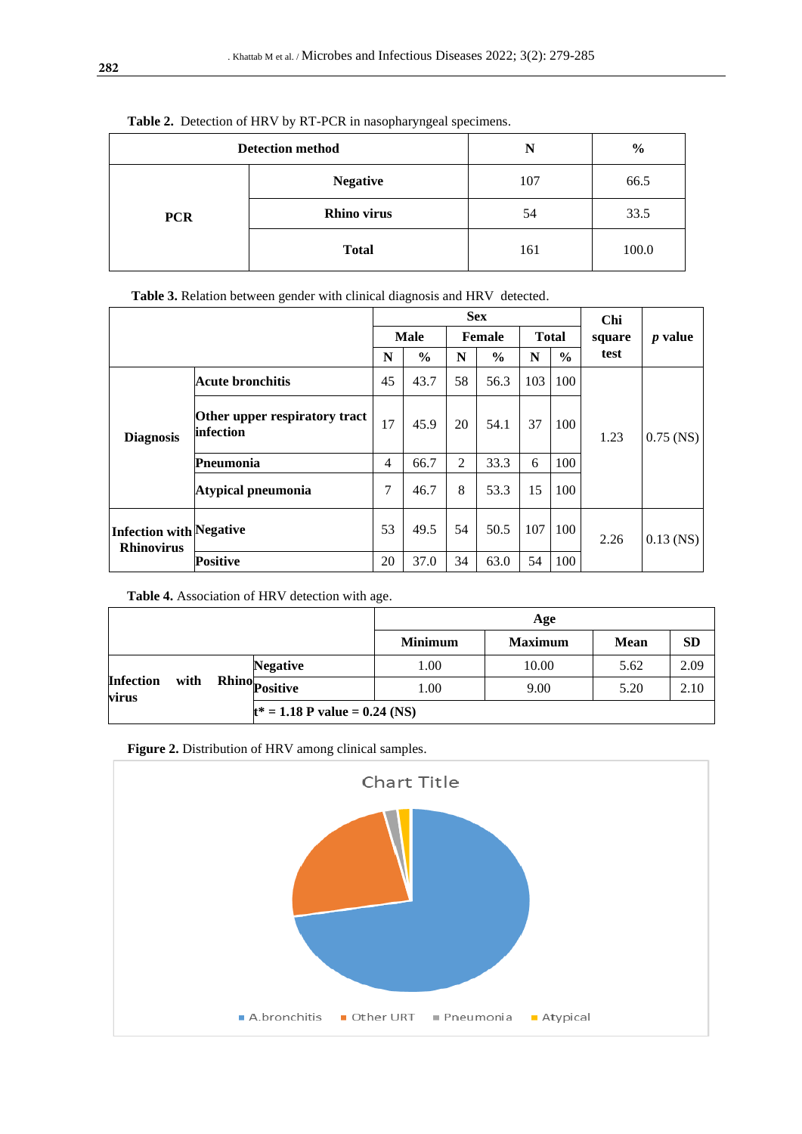| $\checkmark$<br>$\mathbf{r}$<br>.<br><b>Detection method</b> |                    | N   | $\frac{6}{6}$ |
|--------------------------------------------------------------|--------------------|-----|---------------|
|                                                              | <b>Negative</b>    | 107 | 66.5          |
| <b>PCR</b>                                                   | <b>Rhino virus</b> | 54  | 33.5          |
|                                                              | <b>Total</b>       | 161 | 100.0         |

# **Table 2.** Detection of HRV by RT-PCR in nasopharyngeal specimens.

 **Table 3.** Relation between gender with clinical diagnosis and HRV detected.

|                                                     |                                            | <b>Sex</b>  |               |                |               |              | Chi           |        |             |
|-----------------------------------------------------|--------------------------------------------|-------------|---------------|----------------|---------------|--------------|---------------|--------|-------------|
|                                                     |                                            | <b>Male</b> |               | Female         |               | <b>Total</b> |               | square | $p$ value   |
|                                                     |                                            | N           | $\frac{6}{9}$ | N              | $\frac{6}{9}$ | N            | $\frac{6}{6}$ | test   |             |
| <b>Diagnosis</b>                                    | Acute bronchitis                           | 45          | 43.7          | 58             | 56.3          | 103          | 100           | 1.23   | $0.75$ (NS) |
|                                                     | Other upper respiratory tract<br>infection | 17          | 45.9          | 20             | 54.1          | 37           | 100           |        |             |
|                                                     | Pneumonia                                  | 4           | 66.7          | $\overline{2}$ | 33.3          | 6            | 100           |        |             |
|                                                     | Atypical pneumonia                         | 7           | 46.7          | 8              | 53.3          | 15           | 100           |        |             |
| <b>Infection with Negative</b><br><b>Rhinovirus</b> |                                            | 53          | 49.5          | 54             | 50.5          | 107          | 100           | 2.26   | $0.13$ (NS) |
|                                                     | <b>Positive</b>                            | 20          | 37.0          | 34             | 63.0          | 54           | 100           |        |             |

**Table 4.** Association of HRV detection with age.

|                                   |                                  | Age            |                |             |           |  |  |  |  |
|-----------------------------------|----------------------------------|----------------|----------------|-------------|-----------|--|--|--|--|
|                                   |                                  | <b>Minimum</b> | <b>Maximum</b> | <b>Mean</b> | <b>SD</b> |  |  |  |  |
| <b>Infection</b><br>with<br>virus | <b>Negative</b>                  | 1.00           | 10.00          | 5.62        | 2.09      |  |  |  |  |
|                                   | " Rhino <sub>Positive</sub>      | 1.00           | 9.00           | 5.20        | 2.10      |  |  |  |  |
|                                   | $t^* = 1.18$ P value = 0.24 (NS) |                |                |             |           |  |  |  |  |



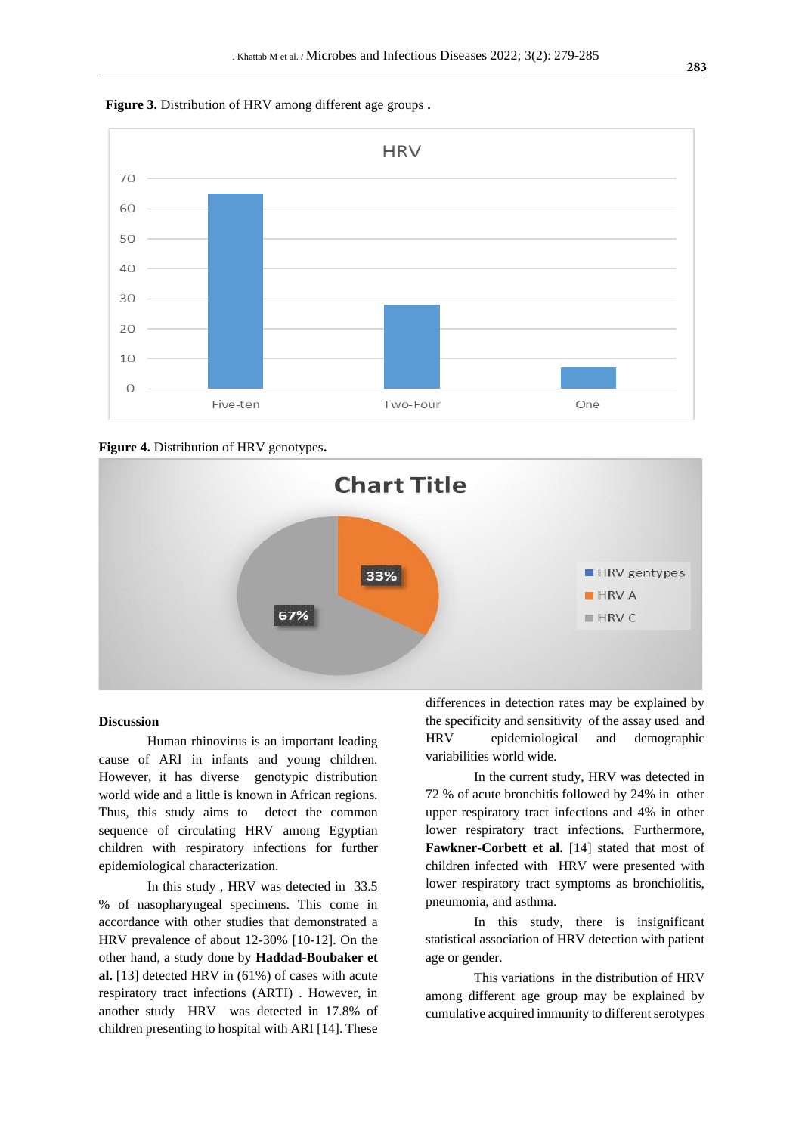



**Figure 4.** Distribution of HRV genotypes**.**



#### **Discussion**

Human rhinovirus is an important leading cause of ARI in infants and young children. However, it has diverse genotypic distribution world wide and a little is known in African regions. Thus, this study aims to detect the common sequence of circulating HRV among Egyptian children with respiratory infections for further epidemiological characterization.

In this study , HRV was detected in 33.5 % of nasopharyngeal specimens. This come in accordance with other studies that demonstrated a HRV prevalence of about 12-30% [10-12]. On the other hand, a study done by **Haddad-Boubaker et al.** [13] detected HRV in (61%) of cases with acute respiratory tract infections (ARTI) . However, in another study HRV was detected in 17.8% of children presenting to hospital with ARI [14]. These

differences in detection rates may be explained by the specificity and sensitivity of the assay used and HRV epidemiological and demographic variabilities world wide.

In the current study, HRV was detected in 72 % of acute bronchitis followed by 24% in other upper respiratory tract infections and 4% in other lower respiratory tract infections. Furthermore, **Fawkner-Corbett et al.** [14] stated that most of children infected with HRV were presented with lower respiratory tract symptoms as bronchiolitis, pneumonia, and asthma.

In this study, there is insignificant statistical association of HRV detection with patient age or gender.

This variations in the distribution of HRV among different age group may be explained by cumulative acquired immunity to different serotypes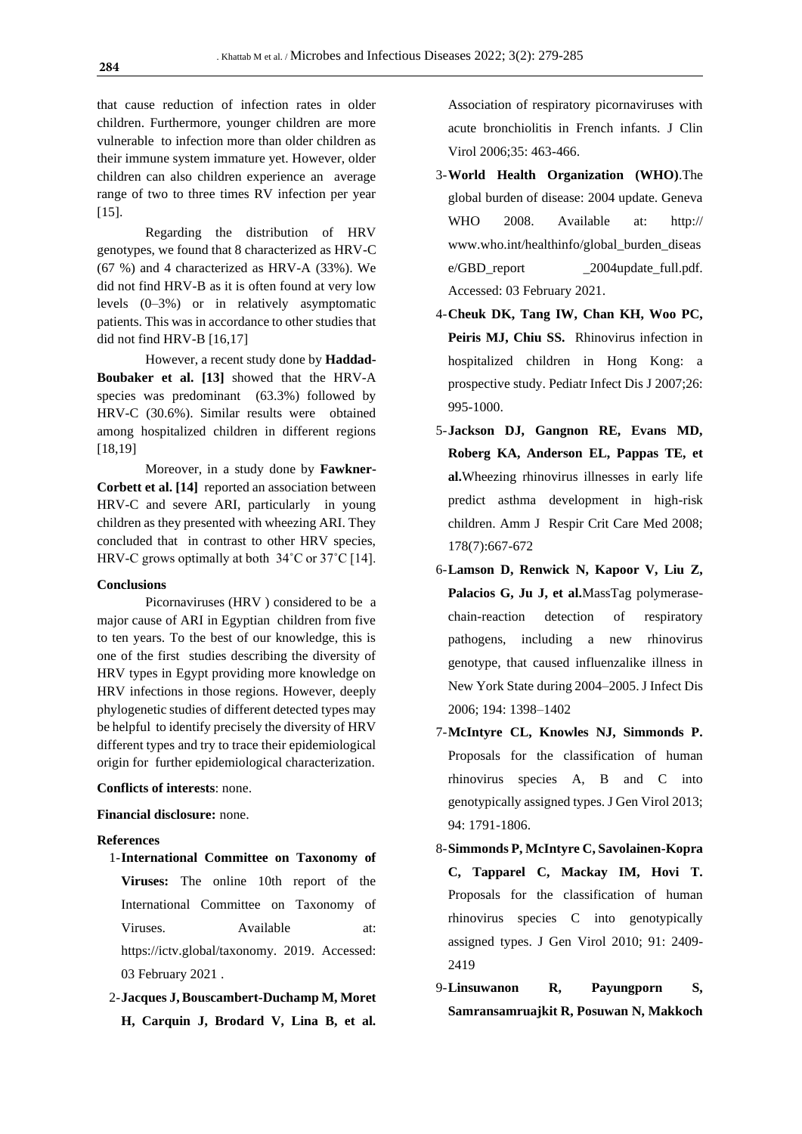that cause reduction of infection rates in older children. Furthermore, younger children are more vulnerable to infection more than older children as their immune system immature yet. However, older children can also children experience an average range of two to three times RV infection per year [15].

Regarding the distribution of HRV genotypes, we found that 8 characterized as HRV-C (67 %) and 4 characterized as HRV-A (33%). We did not find HRV-B as it is often found at very low levels (0–3%) or in relatively asymptomatic patients. This was in accordance to other studies that did not find HRV-B [16,17]

However, a recent study done by **Haddad-Boubaker et al. [13]** showed that the HRV-A species was predominant (63.3%) followed by HRV-C (30.6%). Similar results were obtained among hospitalized children in different regions [18,19]

Moreover, in a study done by **Fawkner-Corbett et al. [14]** reported an association between HRV-C and severe ARI, particularly in young children as they presented with wheezing ARI. They concluded that in contrast to other HRV species, HRV-C grows optimally at both 34˚C or 37˚C [14].

# **Conclusions**

Picornaviruses (HRV ) considered to be a major cause of ARI in Egyptian children from five to ten years. To the best of our knowledge, this is one of the first studies describing the diversity of HRV types in Egypt providing more knowledge on HRV infections in those regions. However, deeply phylogenetic studies of different detected types may be helpful to identify precisely the diversity of HRV different types and try to trace their epidemiological origin for further epidemiological characterization.

#### **Conflicts of interests**: none.

# **Financial disclosure:** none.

#### **References**

- 1-**International Committee on Taxonomy of Viruses:** The online 10th report of the International Committee on Taxonomy of Viruses. Available at: [https://ictv.global/taxonomy. 2019.](https://ictv.global/taxonomy.%202019) Accessed: 03 February 2021 .
- 2-**Jacques J, Bouscambert-Duchamp M, Moret H, Carquin J, Brodard V, Lina B, et al.**

Association of respiratory picornaviruses with acute bronchiolitis in French infants. J Clin Virol 2006;35: 463-466.

- 3-**World Health Organization (WHO)**.The global burden of disease: 2004 update. Geneva WHO 2008. Available at: http:// www.who.int/healthinfo/global\_burden\_diseas e/GBD\_report \_2004update\_full.pdf. Accessed: 03 February 2021.
- 4-**Cheuk DK, Tang IW, Chan KH, Woo PC, Peiris MJ, Chiu SS.** Rhinovirus infection in hospitalized children in Hong Kong: a prospective study. Pediatr Infect Dis J 2007;26: 995-1000.
- 5-**Jackson DJ, Gangnon RE, Evans MD, Roberg KA, Anderson EL, Pappas TE, et al.**Wheezing rhinovirus illnesses in early life predict asthma development in high-risk children. Amm J Respir Crit Care Med 2008; 178(7):667-672
- 6-**Lamson D, Renwick N, Kapoor V, Liu Z, Palacios G, Ju J, et al.**MassTag polymerasechain-reaction detection of respiratory pathogens, including a new rhinovirus genotype, that caused influenzalike illness in New York State during 2004–2005. J Infect Dis 2006; 194: 1398–1402
- 7-**McIntyre CL, Knowles NJ, Simmonds P.** Proposals for the classification of human rhinovirus species A, B and C into genotypically assigned types. J Gen Virol 2013; 94: 1791-1806.
- 8-**Simmonds P, McIntyre C, Savolainen-Kopra C, Tapparel C, Mackay IM, Hovi T.** Proposals for the classification of human rhinovirus species C into genotypically assigned types. J Gen Virol 2010; 91: 2409- 2419
- 9-**Linsuwanon R, Payungporn S, Samransamruajkit R, Posuwan N, Makkoch**